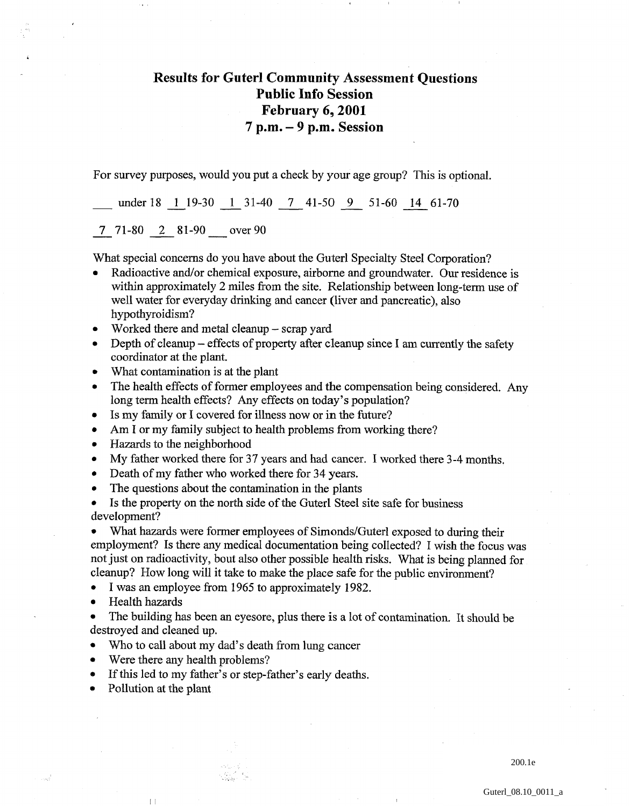## **Results for Guterl Community Assessment Questions Public Info Session February 6,2001 7 p.m.** - **9 p.m. Session**

For survey purposes, would you put a check by your age group? This is optional.

under 18  $\frac{1}{19-30}$   $\frac{1}{19-31-40}$   $\frac{7}{19-41-50}$   $\frac{9}{19-51-60}$   $\frac{14}{14-61-70}$ <br>7 71-80 2 81-90 over 90

What special concerns do you have about the Guterl Specialty Steel Corporation?

- Radioactive and/or chemical exposure, airborne and groundwater. Our residence is within approximately 2 miles from the site. Relationship between long-term use of well water for everyday drinking and cancer (liver and pancreatic), also hypothyroidism?
- Worked there and metal cleanup scrap yard  $\bullet$
- Depth of cleanup effects of property after cleanup since I am currently the safety  $\bullet$ coordinator at the plant.
- What contamination is at the plant  $\bullet$
- The health effects of former employees and the compensation being considered. Any  $\bullet$ long term health effects? Any effects on today's population?
- Is my family or I covered for illness now or in the future?  $\bullet$
- Am I or my family subject to health problems from working there?  $\bullet$
- Hazards to the neighborhood  $\bullet$
- My father worked there for 37 years and had cancer. I worked there 3-4 months.  $\bullet$
- Death of my father who worked there for 34 years.  $\bullet$
- The questions about the contamination in the plants  $\bullet$

Is the property on the north side of the Guterl Steel site safe for business  $\bullet$ development?

What hazards were former employees of Simonds/Guterl exposed to during their employment? Is there any medical documentation being collected? I wish the focus was not just on radioactivity, bout also other possible health risks. What is being planned for cleanup? How long will it take to make the place safe for the public environment?

I was an employee from 1965 to approximately 1982.  $\bullet$ 

- Health hazards
- The building has been an eyesore, plus there is a lot of contamination. It should be destroyed and cleaned up.
- Who to call about my dad's death from lung cancer  $\bullet$
- Were there any health problems?
- If this led to my father's or step-father's early deaths.
- Pollution at the plant

 $\left\lceil \ \right\rceil$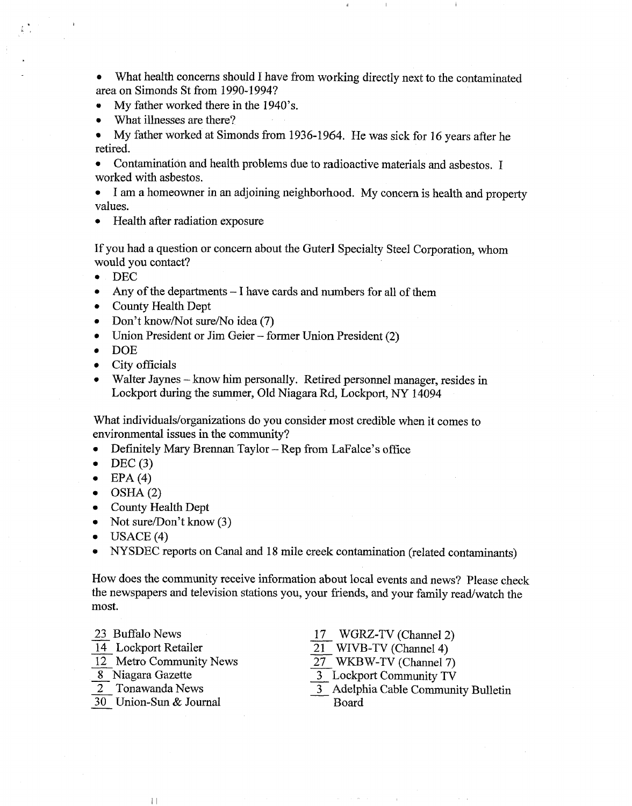What health concerns should I have from working directly next to the contaminated area on Simonds St from 1990- 1994?

- **e** My father worked there in the 1940's.
- What illnesses are there?  $\bullet$

My father worked at Simonds from 1936-1964. He was sick for 16 years after he  $\bullet$ retired.

Contamination and health problems due to radioactive materials and asbestos. I worked with asbestos.

I am a homeowner in an adjoining neighborhood. My concern is health and property  $\bullet$ values.

Health after radiation exposure

If you had a question or concern about the Guterl Specialty Steel Corporation, whom would you contact?

- DEC
- $\bullet$ Any of the departments - I have cards and numbers for all of them
- County Health Dept
- Don't know/Not sure/No idea (7)  $\bullet$
- Union President or Jim Geier former Union President (2)  $\bullet$
- DOE  $\bullet$
- City officials  $\bullet$
- Walter Jaynes know him personally. Retired personnel manager, resides in Lockport during the summer, Old Niagara Rd, Lockport, NY 14094

What individuals/organizations do you consider most credible when it comes to environmental issues in the community?

- Definitely Mary Brennan Taylor Rep from LaFalce's office  $\bullet$
- $DEC(3)$  $\bullet$
- EPA (4)  $\bullet$
- OSHA (2)  $\bullet$
- County Health Dept  $\bullet$
- Not sure/Don't know  $(3)$  $\bullet$
- $USACE(4)$  $\bullet$
- **e** NYSDEC reports on Canal and 18 mile creek contamination (related contaminants)

How does the community receive information about local events and news? Please check the newspapers and television stations you, your friends, and your family read/watch the most.<br>
23 Buffalo News 17 WGRZ-TV (Channel 2)<br>
14 Lockport Retailer 21 WIVB-TV (Channel 4) most. Framer and the vision stations you, your friends, and your family rest.<br>
23 Buffalo News<br>  $\frac{17}{14}$  Lockport Retailer<br>  $\frac{17}{12}$  MUVB-TV (Channel 4)<br>
27 WKBW-TV (Channel 7) 23 Buffalo News<br>
23 Buffalo News<br>  $\frac{17}{12}$  Lockport Retailer<br>  $\frac{17}{21}$  WVB-TV (Channel 4)<br>  $\frac{27}{27}$  WKBW-TV (Channel 7)<br>
8 Niagara Gazette<br>  $\frac{3}{27}$  Lockport Community TV

- 
- 
- $\frac{12}{12}$  Metro Community News<br>  $\frac{8}{30}$  Niagara Gazette<br>  $\frac{27}{30}$  WKBW<br>  $\frac{30}{30}$  Union-Sun & Journal Board<br>
Board
- 
- 
- 

 $\left\lceil \ \right\rceil$ 

- 
- 
- 
- 
- $\begin{array}{ll}\n \frac{17}{14} & \text{WGRZ-TV (Channel 2)} \\
 \frac{17}{21} & \text{WGRZ-TV (Channel 4)} \\
 \frac{12}{21} & \text{WIVB-TV (Channel 4)} \\
 \frac{8}{21} & \text{Ntagara Gazette} \\
 \frac{3}{21} & \text{WKBW-TV (Channel 7)} \\
 \frac{3}{21} & \text{Lockport Community TV} \\
 \frac{3}{21} & \text{Adelpha Cable Community}\n \end{array}$  $\begin{array}{r} \n 11 \overline{\smash{\big)}\ \hline\n 14} \text{Lockport Retailer} \\
 12 \overline{\smash{\big)}\ \hline\n 12} \text{Metro Community News} \\
 \hline\n 8 \overline{\smash{\big)}\ \hline\n 21} \text{WKBW-TV (Channel 4)} \\
 \hline\n 9 \overline{\smash{\big)}\ \hline\n 3} \text{Nagara Gazette} \\
 \hline\n 2 \overline{\smash{\big)}\ \hline\n 4} \text{Lockport Community TV} \\
 \hline\n 30 \text{Union-Sun & Journal} \\
 \hline\n 9 \text{Oard} \\
 \hline\n \end{array}$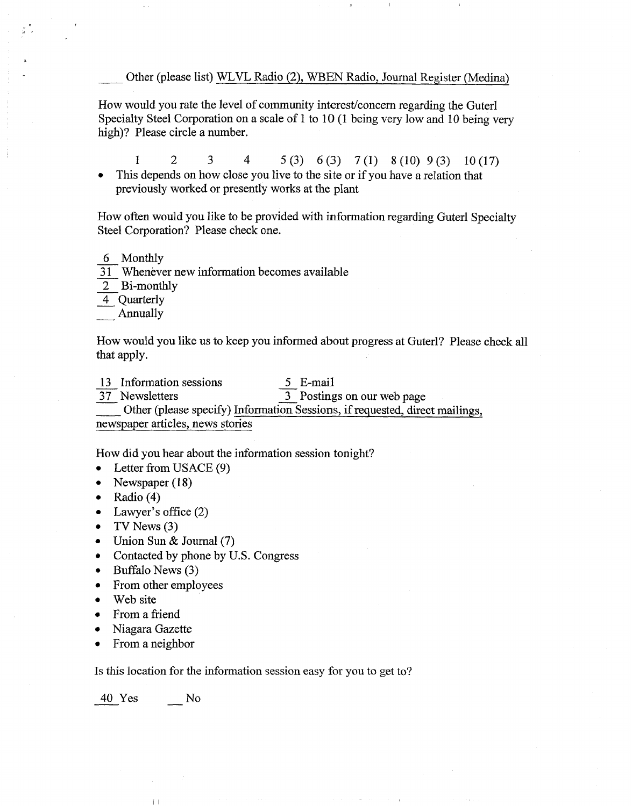Other (please list) WLVL Radio (2), WBEN Radio, Journal Register (Medina)

How would you rate the level of community interest/concern regarding the Guterl Specialty Steel Corporation on a scale of 1 to 10 (1 being very low and 10 being very high)? Please circle a number.

1 2 3 4 S(3) *6(3)* 7(1) S(10) 9(3) lO(17) This depends on how close you live to the site or if you have a relation that previously worked or presently works at the plant

How often would you like to be provided with information regarding Guterl Specialty Steel Corporation? Please check one. How often wo<br>Steel Corporat<br><u>6</u> Monthly<br><u>31</u> Wheneve Frow offer would you like to be provided with inform<br>Steel Corporation? Please check one.<br>
<u>6</u> Monthly<br>
<u>31</u> Whenever new information becomes available<br>
<u>2</u> Bi-monthly

- 
- Steel Corporation<br>  $\frac{6}{31}$  Monthly<br>  $\frac{2}{4}$  Bi-monthly<br>  $\frac{4}{4}$  Quarterly
- $\frac{2}{4}$  Bi-monthly<br>Annually
- 4 Quarterly
- 

How would you like us to keep you informed about progress at Guterl? Please check all that apply. How would you like us to keep you informed abouthat apply.<br>
13 Information sessions  $\frac{5}{37}$  E-mail<br>  $\frac{37}{3}$  Newsletters  $\frac{3}{37}$  Posting

- 
- 

13 Information sessions  $\frac{5}{37}$  E-mail<br>37 Newsletters Other (please specify) Information Sessions, if requested, direct mailings,

newspaper articles, news stories

How did you hear about the information session tonight?

- Letter from USACE (9)  $\bullet$
- Newspaper (18)  $\bullet$
- Radio (4)  $\bullet$
- Lawyer's office (2)  $\bullet$
- TV News  $(3)$  $\bullet$
- Union Sun & Journal (7)  $\bullet$
- Contacted by phone by U.S. Congress  $\bullet$
- 0 Buffalo News **(3)**
- From other employees  $\bullet$
- Web site  $\bullet$
- From a friend  $\bullet$
- Niagara Gazette  $\bullet$
- From a neighbor

Is this location for the information session easy for you to get to?

From a neighbor<br>Is this location for the<br> $\frac{40 \text{ Yes}}{100}$  No

 $\parallel$   $\parallel$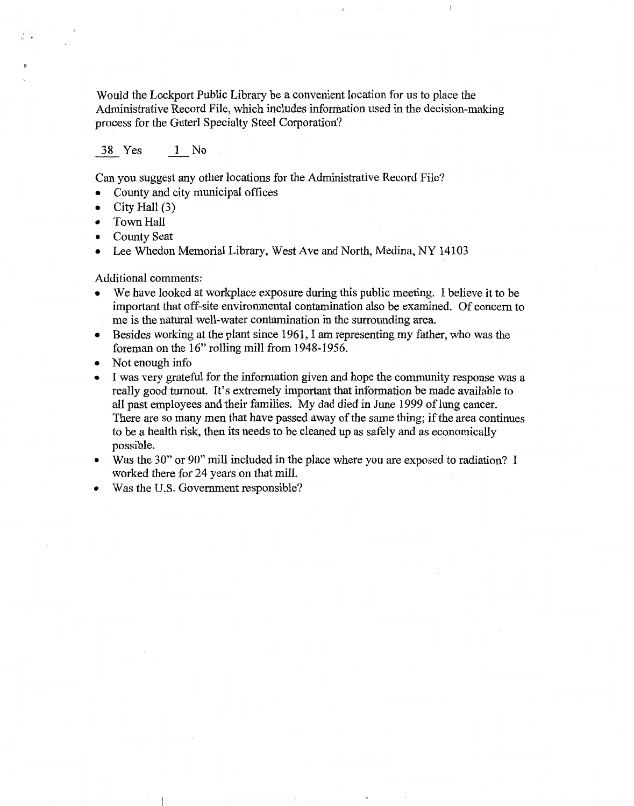Would the Lockport Public Library be a convenient location for us to place the Administrative Record File, which includes information used in the decision-making process for the Guterl Specialty Steel Corporation? Solution Cockport Publishers Cockport<br>38 Solution Cockport Speed Fi<br>38 Yes 1 No

Can you suggest any other locations for the Administrative Record File?

- County and city municipal offices
- City Hall (3)
- Town Hall
- County Seat
- Lee Whedon Memorial Library, West Ave and North, Medina, NY 14103

Additional comments:

- We have looked at workplace exposure during this public meeting. I believe it to be important that off-site environmental contamination also be examined. Of concern to me is the natural well-water contamination in the surrounding area.
- Besides working at the plant since 1961, I am representing my father, who was the foreman on the 16" rolling mill from 1948-1956.
- Not enough info
- I was very grateful for the infomation given and hope the community response was a really good turnout. It's extremely important that information be made available to all past employees and their families. My dad died in June 1999 of lung cancer. There are so many men that have passed away of the same thing; if the area continues to be a health risk, then its needs to be cleaned up as safely and as economically possible.
- Was the 30" or 90" mill included in the place where you are exposed to radiation? I worked there for 24 years on that mill.
- Was the U.S. Government responsible?

 $\lceil \rceil$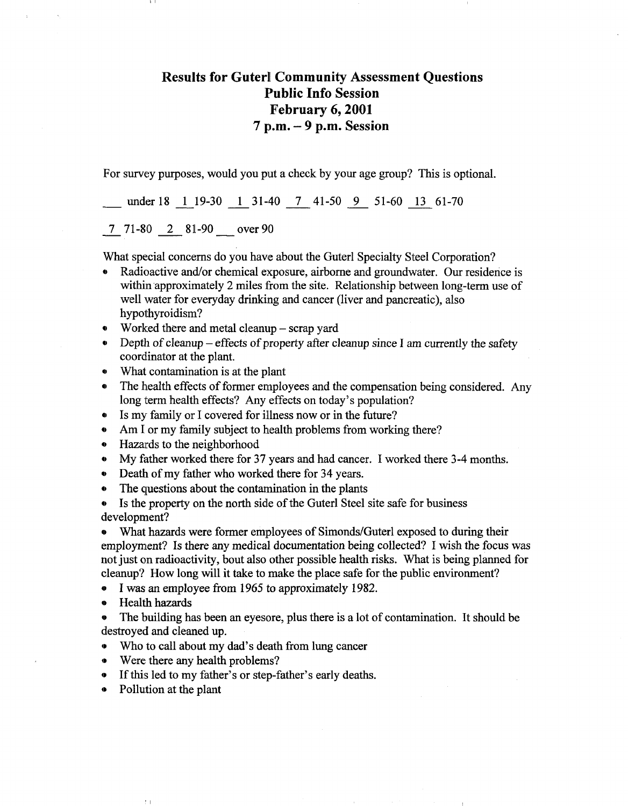## Results for Guterl Community Assessment Questions Public Info Session February 6,2001  $7 p.m. - 9 p.m.$  Session

For survey purposes, would you put a check by your age group? This is optional.

under 18 1 19-30 1 31-40 7 41-50 9 51-60 13 61-70

7 71-80 2 81-90 over 90

What special concerns do you have about the Guterl Specialty Steel Corporation?

- Radioactive and/or chemical exposure, airborne and groundwater. Our residence is within approximately 2 miles from the site. Relationship between long-term use of well water for everyday drinking and cancer (liver and pancreatic), also hypothyroidism?
- Worked there and metal cleanup scrap yard
- Depth of cleanup effects of property after cleanup since I am currently the safety coordinator at the plant.
- What contamination is at the plant
- The health effects of former employees and the compensation being considered. Any long term health effects? Any effects on today's population?
- Is my family or I covered for illness now or in the future?
- Am I or my family subject to health problems from working there?
- Hazards to the neighborhood
- My father worked there for 37 years and had cancer. I worked there 3-4 months.
- Death of my father who worked there for 34 years.
- The questions about the contamination in the plants

Is the property on the north side of the Guterl Steel site safe for business development?

» What hazards were former employees of Simonds/Guterl exposed to during their employment? Is there any medical documentation being collected? I wish the focus was not just on radioactivity, bout also other possible health risks. What is being planned for cleanup? How long will it take to make the place safe for the public environment?

- « I was an employee from 1965 to approximately 1982.
- » Health hazards
- » The building has been an eyesore, plus there is a lot of contamination. It should be destroyed and cleaned up.
- Who to call about my dad's death from lung cancer
- Were there any health problems?
- If this led to my father's or step-father's early deaths.
- Pollution at the plant

 $\uparrow$  )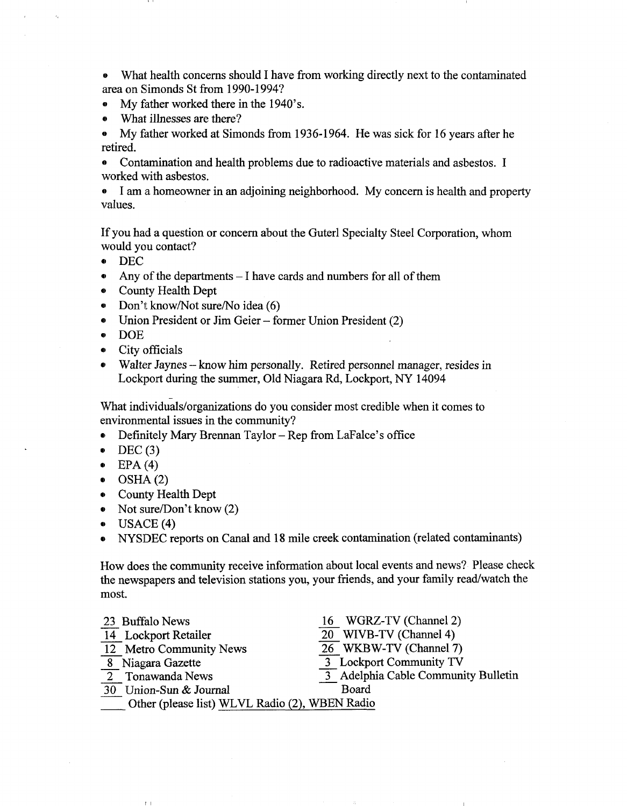• What health concerns should I have from working directly next to the contaminated area on Simonds St from 1990-1994?

- My father worked there in the 1940's.
- What illnesses are there?

• My father worked at Simonds from 1936-1964. He was sick for 16 years after he retired.

• Contamination and health problems due to radioactive materials and asbestos. I worked with asbestos.

• I am a homeowner in an adjoining neighborhood. My concern is health and property values.

If you had a question or concern about the Guterl Specialty Steel Corporation, whom would you contact?

- DEC
- Any of the departments I have cards and numbers for all of them
- County Health Dept
- Don't know/Not sure/No idea (6)
- Union President or Jim Geier former Union President (2)
- DOE
- City officials
- Walter Jaynes know him personally. Retired personnel manager, resides in Lockport during the summer, Old Niagara Rd, Lockport, NY 14094

What individuals/organizations do you consider most credible when it comes to environmental issues in the community?

- Definitely Mary Brennan Taylor Rep from LaFalce's office
- $\bullet$  DEC (3)
- $\bullet$  EPA (4)
- $\bullet$  OSHA(2)
- County Health Dept
- Not sure/Don't know (2)
- USAGE (4)

 $\ell$  .

• NYSDEC reports on Canal and 18 mile creek contamination (related contaminants)

How does the community receive information about local events and news? Please check the newspapers and television stations you, your friends, and your family read/watch the most.

| 23 Buffalo News                                | 16 WGRZ-TV (Channel 2)              |
|------------------------------------------------|-------------------------------------|
| 14 Lockport Retailer                           | 20 WIVB-TV (Channel 4)              |
| 12 Metro Community News                        | 26 WKBW-TV (Channel 7)              |
| 8 Niagara Gazette                              | 3 Lockport Community TV             |
| 2 Tonawanda News                               | 3 Adelphia Cable Community Bulletin |
| 30 Union-Sun & Journal                         | Board                               |
| Other (please list) WLVL Radio (2), WBEN Radio |                                     |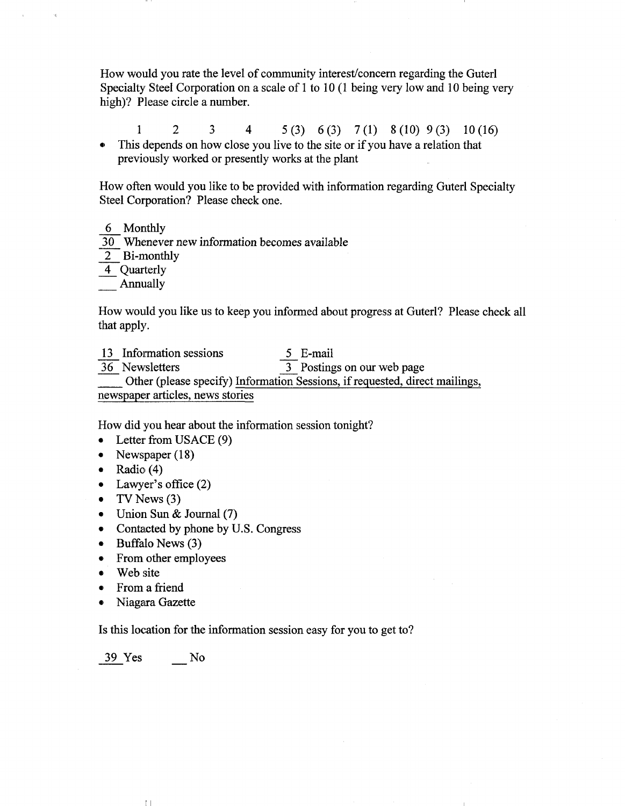How would you rate the level of community interest/concern regarding the Guterl Specialty Steel Corporation on a scale of 1 to 10 (1 being very low and 10 being very high)? Please circle a number.

1 2 3 4 5(3) 6(3) 7(1) 8(10) 9(3) 10(16) • This depends on how close you live to the site or if you have a relation that previously worked or presently works at the plant

How often would you like to be provided with information regarding Guterl Specialty Steel Corporation? Please check one.

6 Monthly

30 Whenever new information becomes available

2 Bi-monthly

4 Quarterly

Annually

How would you like us to keep you informed about progress at Guterl? Please check all that apply.

13 Information sessions 5 E-mail 36 Newsletters 3 Postings on our web page Other (please specify) Information Sessions, if requested, direct mailings, newspaper articles, news stories

How did you hear about the information session tonight?

- Letter from USACE (9)
- Newspaper (18)
- Radio (4)
- Lawyer's office (2)
- TV News  $(3)$
- Union Sun & Journal (7)
- Contacted by phone by U.S. Congress
- Buffalo News (3)
- From other employees
- Web site
- From a friend
- Niagara Gazette

Is this location for the information session easy for you to get to?

39 Yes No

 $\mathbb{L}$